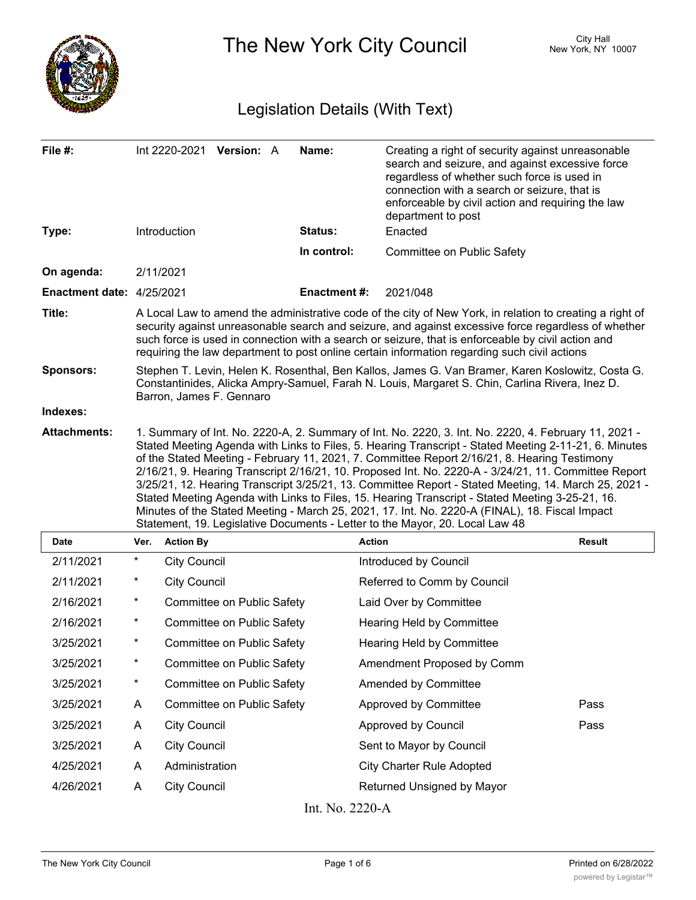

The New York City Council New York, NY 10007

# Legislation Details (With Text)

| File #:                   |                                                                                                                                                                                                                                                                                                                                                                                                                                                                                                                                                                                                                                                                                                                                                                                                                    |                     | Int 2220-2021 Version: A   |  | Name:               | Creating a right of security against unreasonable<br>search and seizure, and against excessive force<br>regardless of whether such force is used in<br>connection with a search or seizure, that is<br>enforceable by civil action and requiring the law<br>department to post |               |
|---------------------------|--------------------------------------------------------------------------------------------------------------------------------------------------------------------------------------------------------------------------------------------------------------------------------------------------------------------------------------------------------------------------------------------------------------------------------------------------------------------------------------------------------------------------------------------------------------------------------------------------------------------------------------------------------------------------------------------------------------------------------------------------------------------------------------------------------------------|---------------------|----------------------------|--|---------------------|--------------------------------------------------------------------------------------------------------------------------------------------------------------------------------------------------------------------------------------------------------------------------------|---------------|
| Type:                     |                                                                                                                                                                                                                                                                                                                                                                                                                                                                                                                                                                                                                                                                                                                                                                                                                    | Introduction        |                            |  | Status:             | Enacted                                                                                                                                                                                                                                                                        |               |
|                           |                                                                                                                                                                                                                                                                                                                                                                                                                                                                                                                                                                                                                                                                                                                                                                                                                    |                     |                            |  | In control:         | Committee on Public Safety                                                                                                                                                                                                                                                     |               |
| On agenda:                |                                                                                                                                                                                                                                                                                                                                                                                                                                                                                                                                                                                                                                                                                                                                                                                                                    | 2/11/2021           |                            |  |                     |                                                                                                                                                                                                                                                                                |               |
| Enactment date: 4/25/2021 |                                                                                                                                                                                                                                                                                                                                                                                                                                                                                                                                                                                                                                                                                                                                                                                                                    |                     |                            |  | <b>Enactment #:</b> | 2021/048                                                                                                                                                                                                                                                                       |               |
| Title:                    | A Local Law to amend the administrative code of the city of New York, in relation to creating a right of<br>security against unreasonable search and seizure, and against excessive force regardless of whether<br>such force is used in connection with a search or seizure, that is enforceable by civil action and<br>requiring the law department to post online certain information regarding such civil actions                                                                                                                                                                                                                                                                                                                                                                                              |                     |                            |  |                     |                                                                                                                                                                                                                                                                                |               |
| <b>Sponsors:</b>          | Stephen T. Levin, Helen K. Rosenthal, Ben Kallos, James G. Van Bramer, Karen Koslowitz, Costa G.<br>Constantinides, Alicka Ampry-Samuel, Farah N. Louis, Margaret S. Chin, Carlina Rivera, Inez D.<br>Barron, James F. Gennaro                                                                                                                                                                                                                                                                                                                                                                                                                                                                                                                                                                                     |                     |                            |  |                     |                                                                                                                                                                                                                                                                                |               |
| Indexes:                  |                                                                                                                                                                                                                                                                                                                                                                                                                                                                                                                                                                                                                                                                                                                                                                                                                    |                     |                            |  |                     |                                                                                                                                                                                                                                                                                |               |
| <b>Attachments:</b>       | 1. Summary of Int. No. 2220-A, 2. Summary of Int. No. 2220, 3. Int. No. 2220, 4. February 11, 2021 -<br>Stated Meeting Agenda with Links to Files, 5. Hearing Transcript - Stated Meeting 2-11-21, 6. Minutes<br>of the Stated Meeting - February 11, 2021, 7. Committee Report 2/16/21, 8. Hearing Testimony<br>2/16/21, 9. Hearing Transcript 2/16/21, 10. Proposed Int. No. 2220-A - 3/24/21, 11. Committee Report<br>3/25/21, 12. Hearing Transcript 3/25/21, 13. Committee Report - Stated Meeting, 14. March 25, 2021 -<br>Stated Meeting Agenda with Links to Files, 15. Hearing Transcript - Stated Meeting 3-25-21, 16.<br>Minutes of the Stated Meeting - March 25, 2021, 17. Int. No. 2220-A (FINAL), 18. Fiscal Impact<br>Statement, 19. Legislative Documents - Letter to the Mayor, 20. Local Law 48 |                     |                            |  |                     |                                                                                                                                                                                                                                                                                |               |
| <b>Date</b>               | Ver.                                                                                                                                                                                                                                                                                                                                                                                                                                                                                                                                                                                                                                                                                                                                                                                                               | <b>Action By</b>    |                            |  |                     | <b>Action</b>                                                                                                                                                                                                                                                                  | <b>Result</b> |
| 2/11/2021                 | $\ast$                                                                                                                                                                                                                                                                                                                                                                                                                                                                                                                                                                                                                                                                                                                                                                                                             | <b>City Council</b> |                            |  |                     | Introduced by Council                                                                                                                                                                                                                                                          |               |
| 2/11/2021                 | $\ast$                                                                                                                                                                                                                                                                                                                                                                                                                                                                                                                                                                                                                                                                                                                                                                                                             | <b>City Council</b> |                            |  |                     | Referred to Comm by Council                                                                                                                                                                                                                                                    |               |
| 2/16/2021                 | $\ast$                                                                                                                                                                                                                                                                                                                                                                                                                                                                                                                                                                                                                                                                                                                                                                                                             |                     | Committee on Public Safety |  |                     | Laid Over by Committee                                                                                                                                                                                                                                                         |               |
| 2/16/2021                 | $^\star$                                                                                                                                                                                                                                                                                                                                                                                                                                                                                                                                                                                                                                                                                                                                                                                                           |                     | Committee on Public Safety |  |                     | <b>Hearing Held by Committee</b>                                                                                                                                                                                                                                               |               |
| 3/25/2021                 | *                                                                                                                                                                                                                                                                                                                                                                                                                                                                                                                                                                                                                                                                                                                                                                                                                  |                     | Committee on Public Safety |  |                     | <b>Hearing Held by Committee</b>                                                                                                                                                                                                                                               |               |
| 3/25/2021                 | $^{\star}$                                                                                                                                                                                                                                                                                                                                                                                                                                                                                                                                                                                                                                                                                                                                                                                                         |                     | Committee on Public Safety |  |                     | Amendment Proposed by Comm                                                                                                                                                                                                                                                     |               |
| 3/25/2021                 | $^{\star}$                                                                                                                                                                                                                                                                                                                                                                                                                                                                                                                                                                                                                                                                                                                                                                                                         |                     | Committee on Public Safety |  |                     | Amended by Committee                                                                                                                                                                                                                                                           |               |
| 3/25/2021                 | A                                                                                                                                                                                                                                                                                                                                                                                                                                                                                                                                                                                                                                                                                                                                                                                                                  |                     | Committee on Public Safety |  |                     | Approved by Committee                                                                                                                                                                                                                                                          | Pass          |
| 3/25/2021                 | A                                                                                                                                                                                                                                                                                                                                                                                                                                                                                                                                                                                                                                                                                                                                                                                                                  | <b>City Council</b> |                            |  |                     | Approved by Council                                                                                                                                                                                                                                                            | Pass          |
| 3/25/2021                 | A                                                                                                                                                                                                                                                                                                                                                                                                                                                                                                                                                                                                                                                                                                                                                                                                                  | <b>City Council</b> |                            |  |                     | Sent to Mayor by Council                                                                                                                                                                                                                                                       |               |
| 4/25/2021                 | Α                                                                                                                                                                                                                                                                                                                                                                                                                                                                                                                                                                                                                                                                                                                                                                                                                  | Administration      |                            |  |                     | <b>City Charter Rule Adopted</b>                                                                                                                                                                                                                                               |               |
| 4/26/2021                 | A                                                                                                                                                                                                                                                                                                                                                                                                                                                                                                                                                                                                                                                                                                                                                                                                                  | <b>City Council</b> |                            |  |                     | Returned Unsigned by Mayor                                                                                                                                                                                                                                                     |               |

Int. No. 2220-A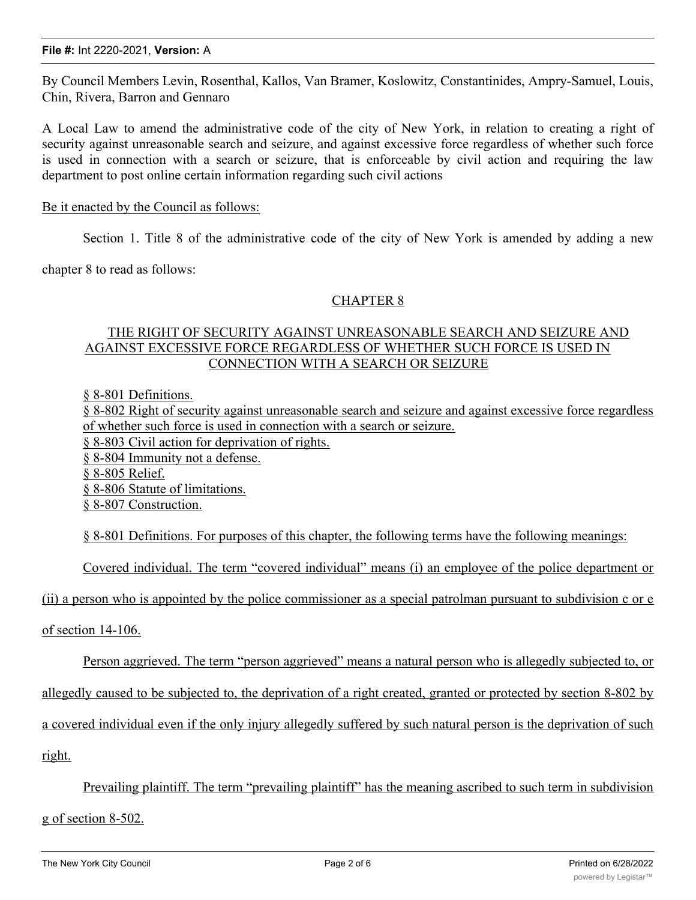By Council Members Levin, Rosenthal, Kallos, Van Bramer, Koslowitz, Constantinides, Ampry-Samuel, Louis, Chin, Rivera, Barron and Gennaro

A Local Law to amend the administrative code of the city of New York, in relation to creating a right of security against unreasonable search and seizure, and against excessive force regardless of whether such force is used in connection with a search or seizure, that is enforceable by civil action and requiring the law department to post online certain information regarding such civil actions

## Be it enacted by the Council as follows:

Section 1. Title 8 of the administrative code of the city of New York is amended by adding a new

chapter 8 to read as follows:

# CHAPTER 8

# THE RIGHT OF SECURITY AGAINST UNREASONABLE SEARCH AND SEIZURE AND AGAINST EXCESSIVE FORCE REGARDLESS OF WHETHER SUCH FORCE IS USED IN CONNECTION WITH A SEARCH OR SEIZURE

§ 8-801 Definitions.

§ 8-802 Right of security against unreasonable search and seizure and against excessive force regardless of whether such force is used in connection with a search or seizure.

§ 8-803 Civil action for deprivation of rights.

§ 8-804 Immunity not a defense.

§ 8-805 Relief.

§ 8-806 Statute of limitations.

§ 8-807 Construction.

§ 8-801 Definitions. For purposes of this chapter, the following terms have the following meanings:

Covered individual. The term "covered individual" means (i) an employee of the police department or

(ii) a person who is appointed by the police commissioner as a special patrolman pursuant to subdivision c or e

of section 14-106.

Person aggrieved. The term "person aggrieved" means a natural person who is allegedly subjected to, or

allegedly caused to be subjected to, the deprivation of a right created, granted or protected by section 8-802 by

a covered individual even if the only injury allegedly suffered by such natural person is the deprivation of such

right.

Prevailing plaintiff. The term "prevailing plaintiff" has the meaning ascribed to such term in subdivision

g of section 8-502.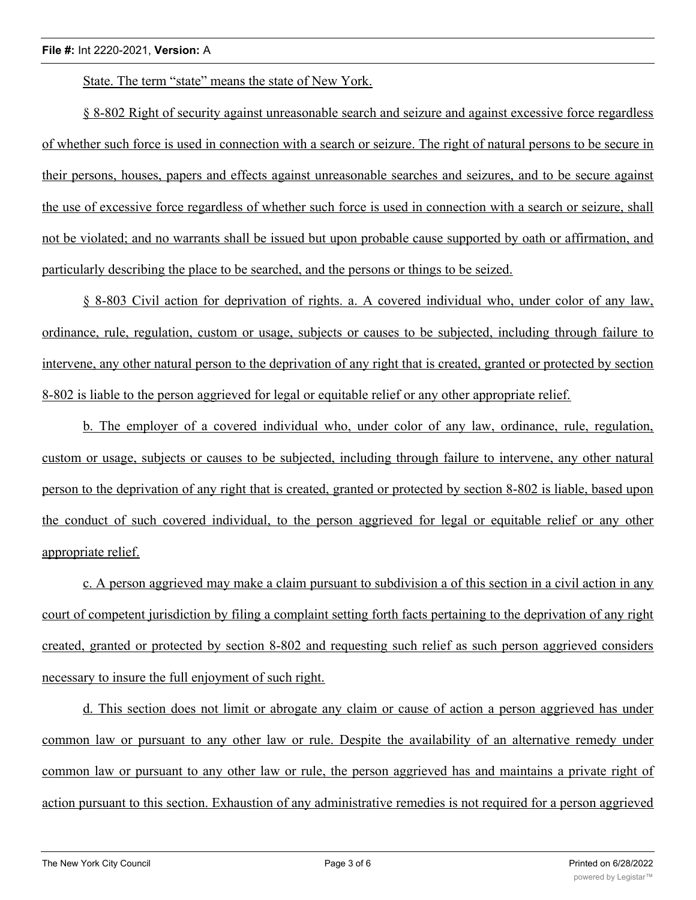#### **File #:** Int 2220-2021, **Version:** A

State. The term "state" means the state of New York.

§ 8-802 Right of security against unreasonable search and seizure and against excessive force regardless of whether such force is used in connection with a search or seizure. The right of natural persons to be secure in their persons, houses, papers and effects against unreasonable searches and seizures, and to be secure against the use of excessive force regardless of whether such force is used in connection with a search or seizure, shall not be violated; and no warrants shall be issued but upon probable cause supported by oath or affirmation, and particularly describing the place to be searched, and the persons or things to be seized.

§ 8-803 Civil action for deprivation of rights. a. A covered individual who, under color of any law, ordinance, rule, regulation, custom or usage, subjects or causes to be subjected, including through failure to intervene, any other natural person to the deprivation of any right that is created, granted or protected by section 8-802 is liable to the person aggrieved for legal or equitable relief or any other appropriate relief.

b. The employer of a covered individual who, under color of any law, ordinance, rule, regulation, custom or usage, subjects or causes to be subjected, including through failure to intervene, any other natural person to the deprivation of any right that is created, granted or protected by section 8-802 is liable, based upon the conduct of such covered individual, to the person aggrieved for legal or equitable relief or any other appropriate relief.

c. A person aggrieved may make a claim pursuant to subdivision a of this section in a civil action in any court of competent jurisdiction by filing a complaint setting forth facts pertaining to the deprivation of any right created, granted or protected by section 8-802 and requesting such relief as such person aggrieved considers necessary to insure the full enjoyment of such right.

d. This section does not limit or abrogate any claim or cause of action a person aggrieved has under common law or pursuant to any other law or rule. Despite the availability of an alternative remedy under common law or pursuant to any other law or rule, the person aggrieved has and maintains a private right of action pursuant to this section. Exhaustion of any administrative remedies is not required for a person aggrieved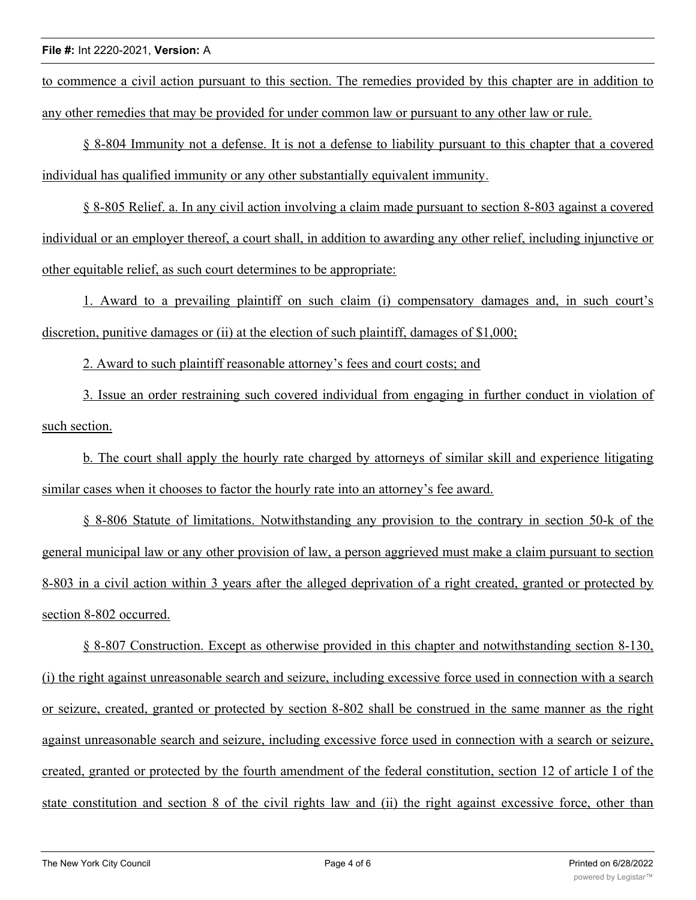to commence a civil action pursuant to this section. The remedies provided by this chapter are in addition to any other remedies that may be provided for under common law or pursuant to any other law or rule.

§ 8-804 Immunity not a defense. It is not a defense to liability pursuant to this chapter that a covered individual has qualified immunity or any other substantially equivalent immunity.

§ 8-805 Relief. a. In any civil action involving a claim made pursuant to section 8-803 against a covered individual or an employer thereof, a court shall, in addition to awarding any other relief, including injunctive or other equitable relief, as such court determines to be appropriate:

1. Award to a prevailing plaintiff on such claim (i) compensatory damages and, in such court's discretion, punitive damages or (ii) at the election of such plaintiff, damages of \$1,000;

2. Award to such plaintiff reasonable attorney's fees and court costs; and

3. Issue an order restraining such covered individual from engaging in further conduct in violation of such section.

b. The court shall apply the hourly rate charged by attorneys of similar skill and experience litigating similar cases when it chooses to factor the hourly rate into an attorney's fee award.

§ 8-806 Statute of limitations. Notwithstanding any provision to the contrary in section 50-k of the general municipal law or any other provision of law, a person aggrieved must make a claim pursuant to section 8-803 in a civil action within 3 years after the alleged deprivation of a right created, granted or protected by section 8-802 occurred.

§ 8-807 Construction. Except as otherwise provided in this chapter and notwithstanding section 8-130, (i) the right against unreasonable search and seizure, including excessive force used in connection with a search or seizure, created, granted or protected by section 8-802 shall be construed in the same manner as the right against unreasonable search and seizure, including excessive force used in connection with a search or seizure, created, granted or protected by the fourth amendment of the federal constitution, section 12 of article I of the state constitution and section 8 of the civil rights law and (ii) the right against excessive force, other than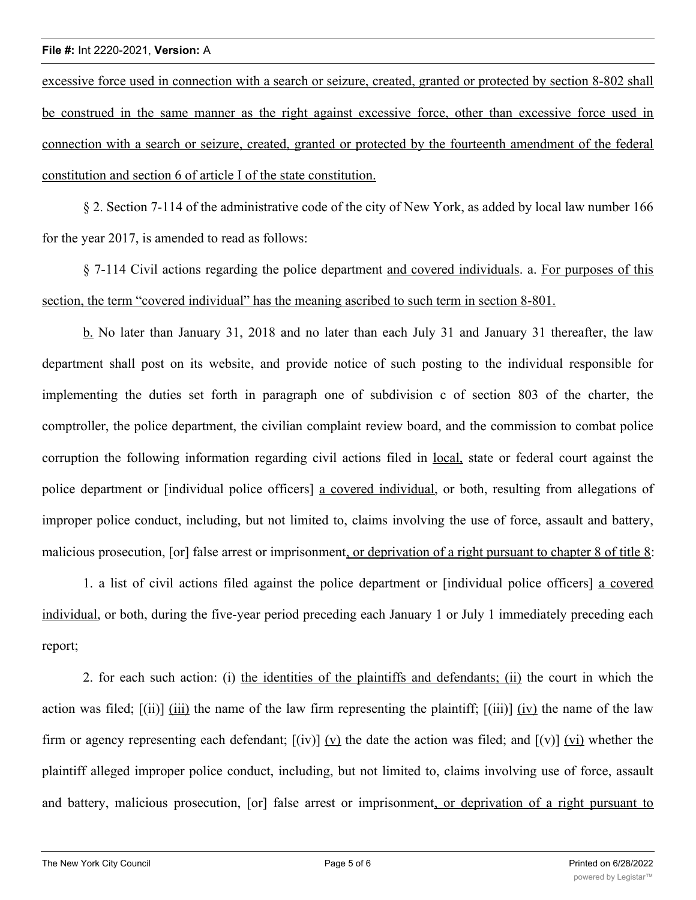#### **File #:** Int 2220-2021, **Version:** A

excessive force used in connection with a search or seizure, created, granted or protected by section 8-802 shall be construed in the same manner as the right against excessive force, other than excessive force used in connection with a search or seizure, created, granted or protected by the fourteenth amendment of the federal constitution and section 6 of article I of the state constitution.

§ 2. Section 7-114 of the administrative code of the city of New York, as added by local law number 166 for the year 2017, is amended to read as follows:

§ 7-114 Civil actions regarding the police department and covered individuals. a. For purposes of this section, the term "covered individual" has the meaning ascribed to such term in section 8-801.

b. No later than January 31, 2018 and no later than each July 31 and January 31 thereafter, the law department shall post on its website, and provide notice of such posting to the individual responsible for implementing the duties set forth in paragraph one of subdivision c of section 803 of the charter, the comptroller, the police department, the civilian complaint review board, and the commission to combat police corruption the following information regarding civil actions filed in local, state or federal court against the police department or [individual police officers] a covered individual, or both, resulting from allegations of improper police conduct, including, but not limited to, claims involving the use of force, assault and battery, malicious prosecution, [or] false arrest or imprisonment, or deprivation of a right pursuant to chapter 8 of title 8:

1. a list of civil actions filed against the police department or [individual police officers] a covered individual, or both, during the five-year period preceding each January 1 or July 1 immediately preceding each report;

2. for each such action: (i) the identities of the plaintiffs and defendants; (ii) the court in which the action was filed;  $[(ii)]$  (iii) the name of the law firm representing the plaintiff;  $[(iii)]$  (iv) the name of the law firm or agency representing each defendant;  $[(iv)] (v)$  the date the action was filed; and  $[(v)] (vi)$  whether the plaintiff alleged improper police conduct, including, but not limited to, claims involving use of force, assault and battery, malicious prosecution, [or] false arrest or imprisonment, or deprivation of a right pursuant to